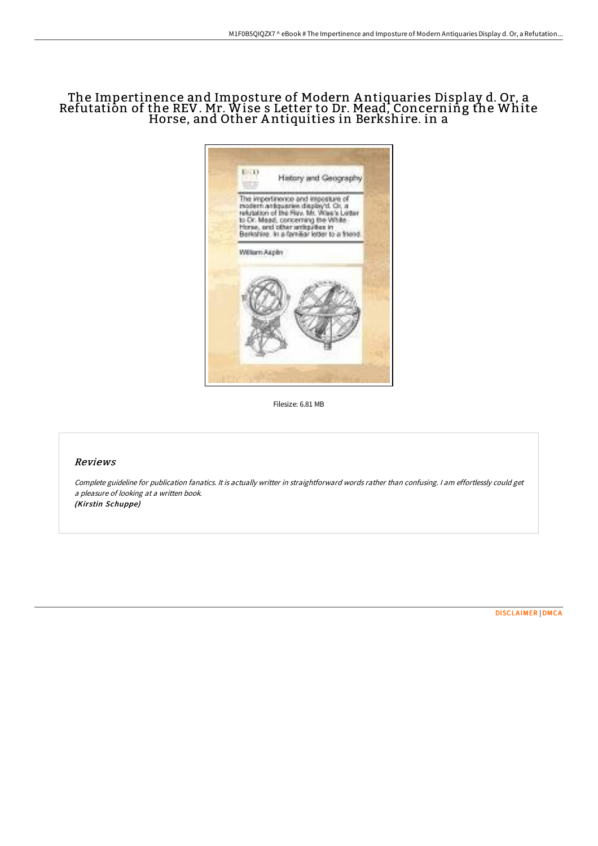# The Impertinence and Imposture of Modern A ntiquaries Display d. Or, a Refutation of the REV. Mr. Wise s Letter to Dr. Mead, Concerning the White Horse, and Other A ntiquities in Berkshire. in a



Filesize: 6.81 MB

### Reviews

Complete guideline for publication fanatics. It is actually writter in straightforward words rather than confusing. <sup>I</sup> am effortlessly could get <sup>a</sup> pleasure of looking at <sup>a</sup> written book. (Kirstin Schuppe)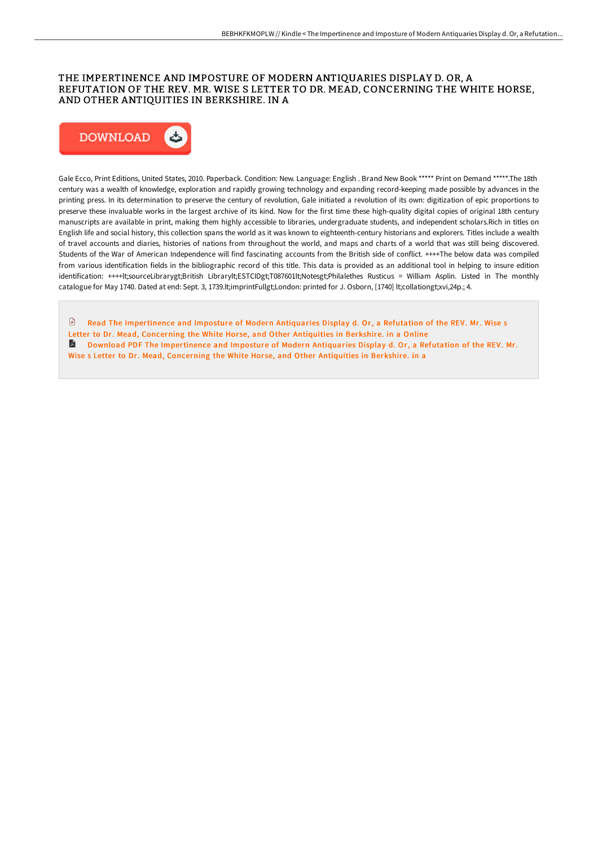### THE IMPERTINENCE AND IMPOSTURE OF MODERN ANTIQUARIES DISPLAY D. OR, A REFUTATION OF THE REV. MR. WISE S LETTER TO DR. MEAD, CONCERNING THE WHITE HORSE, AND OTHER ANTIQUITIES IN BERKSHIRE. IN A



Gale Ecco, Print Editions, United States, 2010. Paperback. Condition: New. Language: English . Brand New Book \*\*\*\*\* Print on Demand \*\*\*\*\*.The 18th century was a wealth of knowledge, exploration and rapidly growing technology and expanding record-keeping made possible by advances in the printing press. In its determination to preserve the century of revolution, Gale initiated a revolution of its own: digitization of epic proportions to preserve these invaluable works in the largest archive of its kind. Now for the first time these high-quality digital copies of original 18th century manuscripts are available in print, making them highly accessible to libraries, undergraduate students, and independent scholars.Rich in titles on English life and social history, this collection spans the world as it was known to eighteenth-century historians and explorers. Titles include a wealth of travel accounts and diaries, histories of nations from throughout the world, and maps and charts of a world that was still being discovered. Students of the War of American Independence will find fascinating accounts from the British side of conflict. ++++The below data was compiled from various identification fields in the bibliographic record of this title. This data is provided as an additional tool in helping to insure edition identification: ++++lt;sourceLibrarygt;British Librarylt;ESTCIDgt;T087601lt;Notesgt;Philalethes Rusticus = William Asplin. Listed in The monthly catalogue for May 1740. Dated at end: Sept. 3, 1739.lt;imprintFullgt;London: printed for J. Osborn, [1740] lt;collationgt;xvi,24p.; 4.

 $\mathbb{R}$ Read The [Impertinence](http://techno-pub.tech/the-impertinence-and-imposture-of-modern-antiqua.html) and Imposture of Modern Antiquaries Display d. Or, a Refutation of the REV. Mr. Wise s Letter to Dr. Mead, Concerning the White Horse, and Other Antiquities in Berkshire. in a Online Download PDF The [Impertinence](http://techno-pub.tech/the-impertinence-and-imposture-of-modern-antiqua.html) and Imposture of Modern Antiquaries Display d. Or, a Refutation of the REV. Mr. Wise s Letter to Dr. Mead, Concerning the White Horse, and Other Antiquities in Berkshire. in a